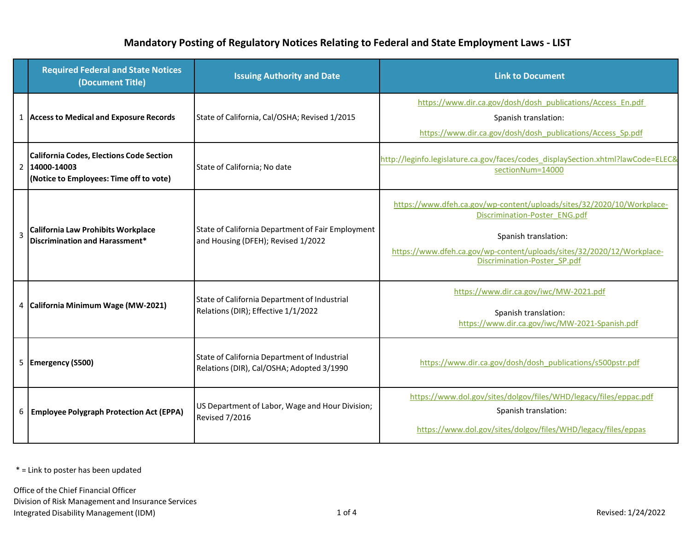## **Mandatory Posting of Regulatory Notices Relating to Federal and State Employment Laws - LIST**

|   | <b>Required Federal and State Notices</b><br>(Document Title)                                               | <b>Issuing Authority and Date</b>                                                         | <b>Link to Document</b>                                                                                                                                                                                                                   |
|---|-------------------------------------------------------------------------------------------------------------|-------------------------------------------------------------------------------------------|-------------------------------------------------------------------------------------------------------------------------------------------------------------------------------------------------------------------------------------------|
|   | 1 Access to Medical and Exposure Records                                                                    | State of California, Cal/OSHA; Revised 1/2015                                             | https://www.dir.ca.gov/dosh/dosh_publications/Access_En.pdf<br>Spanish translation:<br>https://www.dir.ca.gov/dosh/dosh_publications/Access_Sp.pdf                                                                                        |
|   | <b>California Codes, Elections Code Section</b><br>2 14000-14003<br>(Notice to Employees: Time off to vote) | State of California; No date                                                              | http://leginfo.legislature.ca.gov/faces/codes_displaySection.xhtml?lawCode=ELEC&<br>sectionNum=14000                                                                                                                                      |
| 3 | <b>California Law Prohibits Workplace</b><br>Discrimination and Harassment*                                 | State of California Department of Fair Employment<br>and Housing (DFEH); Revised 1/2022   | https://www.dfeh.ca.gov/wp-content/uploads/sites/32/2020/10/Workplace-<br>Discrimination-Poster ENG.pdf<br>Spanish translation:<br>https://www.dfeh.ca.gov/wp-content/uploads/sites/32/2020/12/Workplace-<br>Discrimination-Poster SP.pdf |
|   | 4 California Minimum Wage (MW-2021)                                                                         | State of California Department of Industrial<br>Relations (DIR); Effective 1/1/2022       | https://www.dir.ca.gov/iwc/MW-2021.pdf<br>Spanish translation:<br>https://www.dir.ca.gov/iwc/MW-2021-Spanish.pdf                                                                                                                          |
|   | 5 Emergency (S500)                                                                                          | State of California Department of Industrial<br>Relations (DIR), Cal/OSHA; Adopted 3/1990 | https://www.dir.ca.gov/dosh/dosh_publications/s500pstr.pdf                                                                                                                                                                                |
| 6 | <b>Employee Polygraph Protection Act (EPPA)</b>                                                             | US Department of Labor, Wage and Hour Division;<br><b>Revised 7/2016</b>                  | https://www.dol.gov/sites/dolgov/files/WHD/legacy/files/eppac.pdf<br>Spanish translation:<br>https://www.dol.gov/sites/dolgov/files/WHD/legacy/files/eppas                                                                                |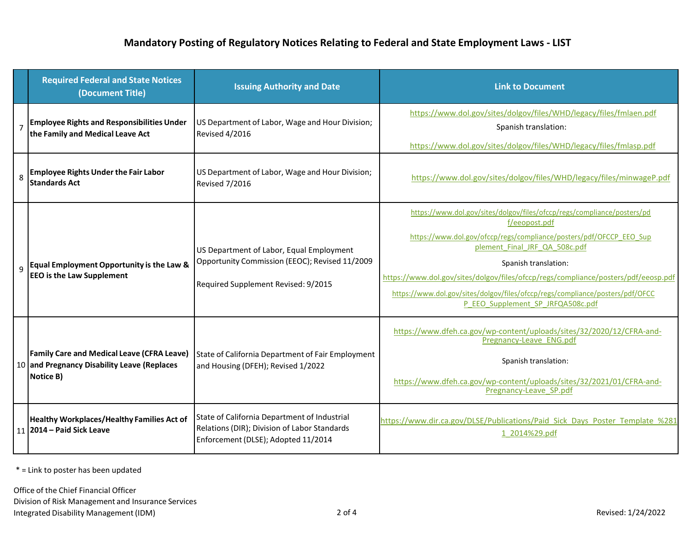|                | <b>Required Federal and State Notices</b><br>(Document Title)                                                 | <b>Issuing Authority and Date</b>                                                                                                   | <b>Link to Document</b>                                                                                                                                                                                                                                                                                                                                                                                                              |
|----------------|---------------------------------------------------------------------------------------------------------------|-------------------------------------------------------------------------------------------------------------------------------------|--------------------------------------------------------------------------------------------------------------------------------------------------------------------------------------------------------------------------------------------------------------------------------------------------------------------------------------------------------------------------------------------------------------------------------------|
| $\overline{7}$ | <b>Employee Rights and Responsibilities Under</b><br>the Family and Medical Leave Act                         | US Department of Labor, Wage and Hour Division;<br><b>Revised 4/2016</b>                                                            | https://www.dol.gov/sites/dolgov/files/WHD/legacy/files/fmlaen.pdf<br>Spanish translation:<br>https://www.dol.gov/sites/dolgov/files/WHD/legacy/files/fmlasp.pdf                                                                                                                                                                                                                                                                     |
| 8              | <b>Employee Rights Under the Fair Labor</b><br><b>Standards Act</b>                                           | US Department of Labor, Wage and Hour Division;<br><b>Revised 7/2016</b>                                                            | https://www.dol.gov/sites/dolgov/files/WHD/legacy/files/minwageP.pdf                                                                                                                                                                                                                                                                                                                                                                 |
|                | Equal Employment Opportunity is the Law &<br><b>EEO</b> is the Law Supplement                                 | US Department of Labor, Equal Employment<br>Opportunity Commission (EEOC); Revised 11/2009<br>Required Supplement Revised: 9/2015   | https://www.dol.gov/sites/dolgov/files/ofccp/regs/compliance/posters/pd<br>f/eeopost.pdf<br>https://www.dol.gov/ofccp/regs/compliance/posters/pdf/OFCCP EEO Sup<br>plement Final JRF QA 508c.pdf<br>Spanish translation:<br>https://www.dol.gov/sites/dolgov/files/ofccp/regs/compliance/posters/pdf/eeosp.pdf<br>https://www.dol.gov/sites/dolgov/files/ofccp/regs/compliance/posters/pdf/OFCC<br>P EEO Supplement SP JRFQA508c.pdf |
|                | <b>Family Care and Medical Leave (CFRA Leave)</b><br>10 and Pregnancy Disability Leave (Replaces<br>Notice B) | State of California Department of Fair Employment<br>and Housing (DFEH); Revised 1/2022                                             | https://www.dfeh.ca.gov/wp-content/uploads/sites/32/2020/12/CFRA-and-<br>Pregnancy-Leave ENG.pdf<br>Spanish translation:<br>https://www.dfeh.ca.gov/wp-content/uploads/sites/32/2021/01/CFRA-and-<br>Pregnancy-Leave SP.pdf                                                                                                                                                                                                          |
|                | <b>Healthy Workplaces/Healthy Families Act of</b><br>11 2014 – Paid Sick Leave                                | State of California Department of Industrial<br>Relations (DIR); Division of Labor Standards<br>Enforcement (DLSE); Adopted 11/2014 | https://www.dir.ca.gov/DLSE/Publications/Paid Sick Days Poster Template %281<br>1 2014%29.pdf                                                                                                                                                                                                                                                                                                                                        |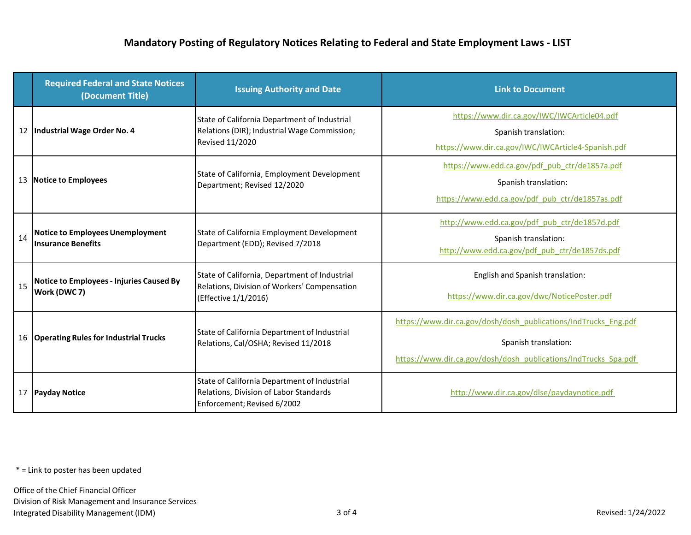|    | <b>Required Federal and State Notices</b><br>(Document Title)        | <b>Issuing Authority and Date</b>                                                                                      | <b>Link to Document</b>                                                                                                                                    |
|----|----------------------------------------------------------------------|------------------------------------------------------------------------------------------------------------------------|------------------------------------------------------------------------------------------------------------------------------------------------------------|
|    | 12 Industrial Wage Order No. 4                                       | State of California Department of Industrial<br>Relations (DIR); Industrial Wage Commission;<br><b>Revised 11/2020</b> | https://www.dir.ca.gov/IWC/IWCArticle04.pdf<br>Spanish translation:<br>https://www.dir.ca.gov/IWC/IWCArticle4-Spanish.pdf                                  |
| 13 | <b>Notice to Employees</b>                                           | State of California, Employment Development<br>Department; Revised 12/2020                                             | https://www.edd.ca.gov/pdf pub ctr/de1857a.pdf<br>Spanish translation:<br>https://www.edd.ca.gov/pdf_pub_ctr/de1857as.pdf                                  |
| 14 | <b>Notice to Employees Unemployment</b><br><b>Insurance Benefits</b> | State of California Employment Development<br>Department (EDD); Revised 7/2018                                         | http://www.edd.ca.gov/pdf pub ctr/de1857d.pdf<br>Spanish translation:<br>http://www.edd.ca.gov/pdf pub ctr/de1857ds.pdf                                    |
| 15 | <b>Notice to Employees - Injuries Caused By</b><br>Work (DWC 7)      | State of California, Department of Industrial<br>Relations, Division of Workers' Compensation<br>(Effective 1/1/2016)  | English and Spanish translation:<br>https://www.dir.ca.gov/dwc/NoticePoster.pdf                                                                            |
| 16 | <b>Operating Rules for Industrial Trucks</b>                         | State of California Department of Industrial<br>Relations, Cal/OSHA; Revised 11/2018                                   | https://www.dir.ca.gov/dosh/dosh_publications/IndTrucks_Eng.pdf<br>Spanish translation:<br>https://www.dir.ca.gov/dosh/dosh_publications/IndTrucks_Spa.pdf |
| 17 | <b>Payday Notice</b>                                                 | State of California Department of Industrial<br>Relations, Division of Labor Standards<br>Enforcement; Revised 6/2002  | http://www.dir.ca.gov/dlse/paydaynotice.pdf                                                                                                                |